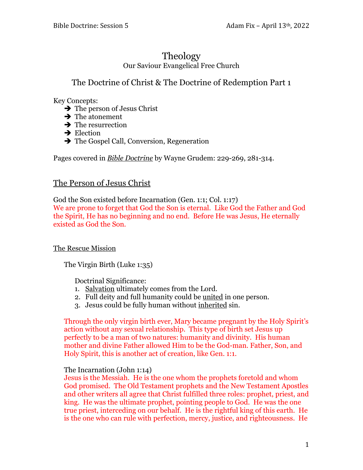# Theology Our Saviour Evangelical Free Church

# The Doctrine of Christ & The Doctrine of Redemption Part 1

Key Concepts:

- $\rightarrow$  The person of Jesus Christ
- $\rightarrow$  The atonement
- $\rightarrow$  The resurrection
- $\rightarrow$  Election
- $\rightarrow$  The Gospel Call, Conversion, Regeneration

Pages covered in *Bible Doctrine* by Wayne Grudem: 229-269, 281-314.

# The Person of Jesus Christ

God the Son existed before Incarnation (Gen. 1:1; Col. 1:17) We are prone to forget that God the Son is eternal. Like God the Father and God the Spirit, He has no beginning and no end. Before He was Jesus, He eternally existed as God the Son.

## The Rescue Mission

The Virgin Birth (Luke 1:35)

Doctrinal Significance:

- 1. Salvation ultimately comes from the Lord.
- 2. Full deity and full humanity could be <u>united</u> in one person.
- 3. Jesus could be fully human without inherited sin.

Through the only virgin birth ever, Mary became pregnant by the Holy Spirit's action without any sexual relationship. This type of birth set Jesus up perfectly to be a man of two natures: humanity and divinity. His human mother and divine Father allowed Him to be the God-man. Father, Son, and Holy Spirit, this is another act of creation, like Gen. 1:1.

#### The Incarnation (John 1:14)

Jesus is the Messiah. He is the one whom the prophets foretold and whom God promised. The Old Testament prophets and the New Testament Apostles and other writers all agree that Christ fulfilled three roles: prophet, priest, and king. He was the ultimate prophet, pointing people to God. He was the one true priest, interceding on our behalf. He is the rightful king of this earth. He is the one who can rule with perfection, mercy, justice, and righteousness. He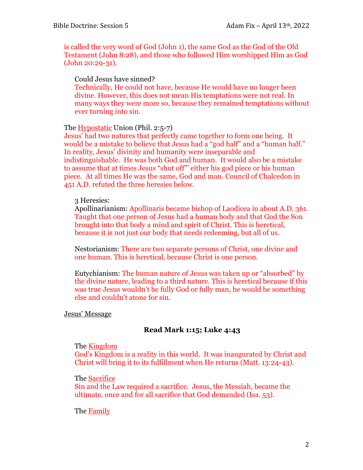is called the very word of God (John 1), the same God as the God of the Old Testament (John 8:28), and those who followed Him worshipped Him as God (John 20:29-31).

Could Jesus have sinned?

Technically, He could not have, because He would have no longer been divine. However, this does not mean His temptations were not real. In many ways they were more so, because they remained temptations without ever turning into sin.

The Hypostatic Union (Phil. 2:5-7)

Jesus' had two natures that perfectly came together to form one being. It would be a mistake to believe that Jesus had a "god half" and a "human half." In reality, Jesus' divinity and humanity were inseparable and indistinguishable. He was both God and human. It would also be a mistake to assume that at times Jesus "shut off"' either his god piece or his human piece. At all times He was the same, God and man. Council of Chalcedon in 451 A.D. refuted the three heresies below.

### 3 Heresies:

Apollinarianism: Apollinaris became bishop of Laodicea in about A.D. 361. Taught that one person of Jesus had a human body and that God the Son brought into that body a mind and spirit of Christ. This is heretical, because it is not just our body that needs redeeming, but all of us.

Nestorianism: There are two separate persons of Christ, one divine and one human. This is heretical, because Christ is one person.

Eutychianism: The human nature of Jesus was taken up or "absorbed" by the divine nature, leading to a third nature. This is heretical because if this was true Jesus wouldn't be fully God or fully man, he would be something else and couldn't atone for sin.

#### Jesus' Message

## **Read Mark 1:15; Luke 4:43**

#### The Kingdom

God's Kingdom is a reality in this world. It was inaugurated by Christ and Christ will bring it to its fulfillment when He returns (Matt. 13:24-43).

#### The Sacrifice

Sin and the Law required a sacrifice. Jesus, the Messiah, became the ultimate, once and for all sacrifice that God demanded (Isa. 53).

#### The **Family**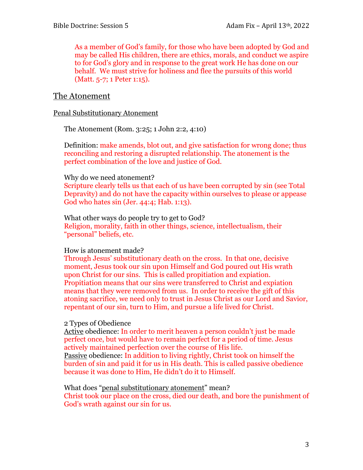As a member of God's family, for those who have been adopted by God and may be called His children, there are ethics, morals, and conduct we aspire to for God's glory and in response to the great work He has done on our behalf. We must strive for holiness and flee the pursuits of this world (Matt. 5-7; 1 Peter 1:15).

## The Atonement

#### Penal Substitutionary Atonement

The Atonement (Rom. 3:25; 1 John 2:2, 4:10)

Definition: make amends, blot out, and give satisfaction for wrong done; thus reconciling and restoring a disrupted relationship. The atonement is the perfect combination of the love and justice of God.

#### Why do we need atonement?

Scripture clearly tells us that each of us have been corrupted by sin (see Total Depravity) and do not have the capacity within ourselves to please or appease God who hates sin (Jer. 44:4; Hab. 1:13).

What other ways do people try to get to God? Religion, morality, faith in other things, science, intellectualism, their "personal" beliefs, etc.

#### How is atonement made?

Through Jesus' substitutionary death on the cross. In that one, decisive moment, Jesus took our sin upon Himself and God poured out His wrath upon Christ for our sins. This is called propitiation and expiation. Propitiation means that our sins were transferred to Christ and expiation means that they were removed from us. In order to receive the gift of this atoning sacrifice, we need only to trust in Jesus Christ as our Lord and Savior, repentant of our sin, turn to Him, and pursue a life lived for Christ.

#### 2 Types of Obedience

Active obedience: In order to merit heaven a person couldn't just be made perfect once, but would have to remain perfect for a period of time. Jesus actively maintained perfection over the course of His life. Passive obedience: In addition to living rightly, Christ took on himself the burden of sin and paid it for us in His death. This is called passive obedience because it was done to Him, He didn't do it to Himself.

#### What does "penal substitutionary atonement" mean?

Christ took our place on the cross, died our death, and bore the punishment of God's wrath against our sin for us.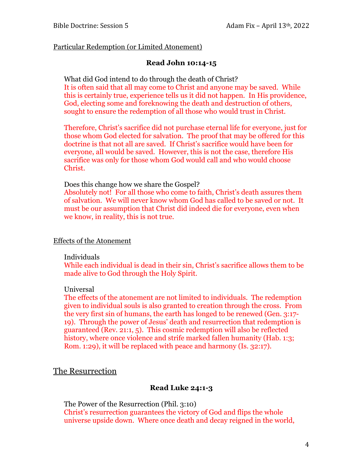#### Particular Redemption (or Limited Atonement)

#### **Read John 10:14-15**

What did God intend to do through the death of Christ? It is often said that all may come to Christ and anyone may be saved. While this is certainly true, experience tells us it did not happen. In His providence, God, electing some and foreknowing the death and destruction of others, sought to ensure the redemption of all those who would trust in Christ.

Therefore, Christ's sacrifice did not purchase eternal life for everyone, just for those whom God elected for salvation. The proof that may be offered for this doctrine is that not all are saved. If Christ's sacrifice would have been for everyone, all would be saved. However, this is not the case, therefore His sacrifice was only for those whom God would call and who would choose Christ.

Does this change how we share the Gospel?

Absolutely not! For all those who come to faith, Christ's death assures them of salvation. We will never know whom God has called to be saved or not. It must be our assumption that Christ did indeed die for everyone, even when we know, in reality, this is not true.

#### Effects of the Atonement

#### Individuals

While each individual is dead in their sin, Christ's sacrifice allows them to be made alive to God through the Holy Spirit.

#### Universal

The effects of the atonement are not limited to individuals. The redemption given to individual souls is also granted to creation through the cross. From the very first sin of humans, the earth has longed to be renewed (Gen. 3:17- 19). Through the power of Jesus' death and resurrection that redemption is guaranteed (Rev. 21:1, 5). This cosmic redemption will also be reflected history, where once violence and strife marked fallen humanity (Hab. 1:3; Rom. 1:29), it will be replaced with peace and harmony (Is. 32:17).

## The Resurrection

#### **Read Luke 24:1-3**

The Power of the Resurrection (Phil. 3:10) Christ's resurrection guarantees the victory of God and flips the whole universe upside down. Where once death and decay reigned in the world,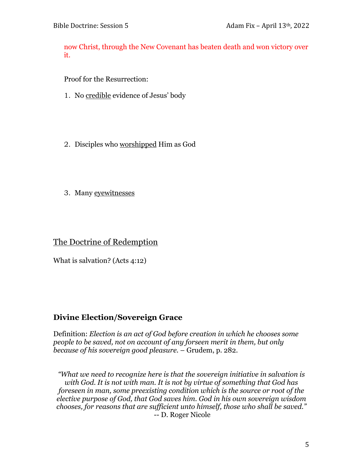now Christ, through the New Covenant has beaten death and won victory over it.

Proof for the Resurrection:

- 1. No credible evidence of Jesus' body
- 2. Disciples who worshipped Him as God
- 3. Many eyewitnesses

# The Doctrine of Redemption

What is salvation? (Acts 4:12)

# **Divine Election/Sovereign Grace**

Definition: *Election is an act of God before creation in which he chooses some people to be saved, not on account of any forseen merit in them, but only because of his sovereign good pleasure.* – Grudem, p. 282.

*"What we need to recognize here is that the sovereign initiative in salvation is with God. It is not with man. It is not by virtue of something that God has foreseen in man, some preexisting condition which is the source or root of the elective purpose of God, that God saves him. God in his own sovereign wisdom chooses, for reasons that are sufficient unto himself, those who shall be saved."*  -- D. Roger Nicole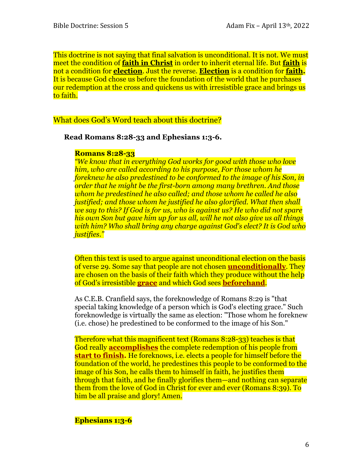This doctrine is not saying that final salvation is unconditional. It is not. We must meet the condition of **faith in Christ** in order to inherit eternal life. But **faith** is not a condition for **election**. Just the reverse. **Election** is a condition for **faith.** It is because God chose us before the foundation of the world that he purchases our redemption at the cross and quickens us with irresistible grace and brings us to faith.

What does God's Word teach about this doctrine?

**Read Romans 8:28-33 and Ephesians 1:3-6.**

#### **Romans 8:28-33**

*"We know that in everything God works for good with those who love him, who are called according to his purpose, For those whom he foreknew he also predestined to be conformed to the image of his Son, in order that he might be the first-born among many brethren. And those whom he predestined he also called; and those whom he called he also justified; and those whom he justified he also glorified. What then shall we say to this? If God is for us, who is against us? He who did not spare his own Son but gave him up for us all, will he not also give us all things with him? Who shall bring any charge against God's elect? It is God who justifies."*

Often this text is used to argue against unconditional election on the basis of verse 29. Some say that people are not chosen **unconditionally**. They are chosen on the basis of their faith which they produce without the help of God's irresistible **grace** and which God sees **beforehand**.

As C.E.B. Cranfield says, the foreknowledge of Romans 8:29 is "that special taking knowledge of a person which is God's electing grace." Such foreknowledge is virtually the same as election: "Those whom he foreknew (i.e. chose) he predestined to be conformed to the image of his Son."

Therefore what this magnificent text (Romans 8:28-33) teaches is that God really **accomplishes** the complete redemption of his people from **start to finish.** He foreknows, i.e. elects a people for himself before the foundation of the world, he predestines this people to be conformed to the image of his Son, he calls them to himself in faith, he justifies them through that faith, and he finally glorifies them—and nothing can separate them from the love of God in Christ for ever and ever (Romans 8:39). To him be all praise and glory! Amen.

## **Ephesians 1:3-6**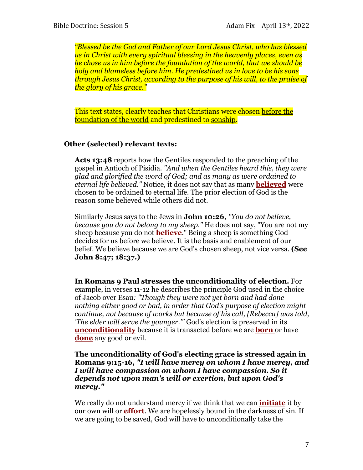*"Blessed be the God and Father of our Lord Jesus Christ, who has blessed us in Christ with every spiritual blessing in the heavenly places, even as he chose us in him before the foundation of the world, that we should be holy and blameless before him. He predestined us in love to be his sons through Jesus Christ, according to the purpose of his will, to the praise of the glory of his grace."*

This text states, clearly teaches that Christians were chosen before the foundation of the world and predestined to sonship.

### **Other (selected) relevant texts:**

**Acts 13:48** reports how the Gentiles responded to the preaching of the gospel in Antioch of Pisidia. *"And when the Gentiles heard this, they were glad and glorified the word of God; and as many as were ordained to eternal life believed."* Notice, it does not say that as many **believed** were chosen to be ordained to eternal life. The prior election of God is the reason some believed while others did not.

Similarly Jesus says to the Jews in **John 10:26,** *"You do not believe, because you do not belong to my sheep."* He does not say, "You are not my sheep because you do not **believe**." Being a sheep is something God decides for us before we believe. It is the basis and enablement of our belief. We believe because we are God's chosen sheep, not vice versa. **(See John 8:47; 18:37.)**

**In Romans 9 Paul stresses the unconditionality of election.** For example, in verses 11-12 he describes the principle God used in the choice of Jacob over Esau*: "Though they were not yet born and had done nothing either good or bad, in order that God's purpose of election might continue, not because of works but because of his call, [Rebecca] was told, 'The elder will serve the younger.'"* God's election is preserved in its **unconditionality** because it is transacted before we are **born** or have **done** any good or evil.

#### **The unconditionality of God's electing grace is stressed again in Romans 9:15-16,** *"I will have mercy on whom I have mercy, and I will have compassion on whom I have compassion. So it depends not upon man's will or exertion, but upon God's mercy."*

We really do not understand mercy if we think that we can **initiate** it by our own will or **effort**. We are hopelessly bound in the darkness of sin. If we are going to be saved, God will have to unconditionally take the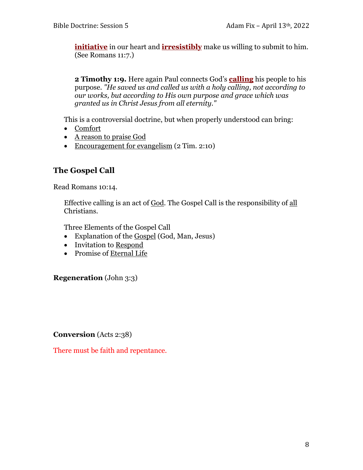**initiative** in our heart and **irresistibly** make us willing to submit to him. (See Romans 11:7.)

**2 Timothy 1:9.** Here again Paul connects God's **calling** his people to his purpose. *"He saved us and called us with a holy calling, not according to our works, but according to His own purpose and grace which was granted us in Christ Jesus from all eternity."*

This is a controversial doctrine, but when properly understood can bring:

- Comfort
- A reason to praise God
- Encouragement for evangelism (2 Tim. 2:10)

# **The Gospel Call**

Read Romans 10:14.

Effective calling is an act of God. The Gospel Call is the responsibility of all Christians.

Three Elements of the Gospel Call

- Explanation of the Gospel (God, Man, Jesus)
- Invitation to Respond
- Promise of Eternal Life

**Regeneration** (John 3:3)

**Conversion** (Acts 2:38)

There must be faith and repentance.